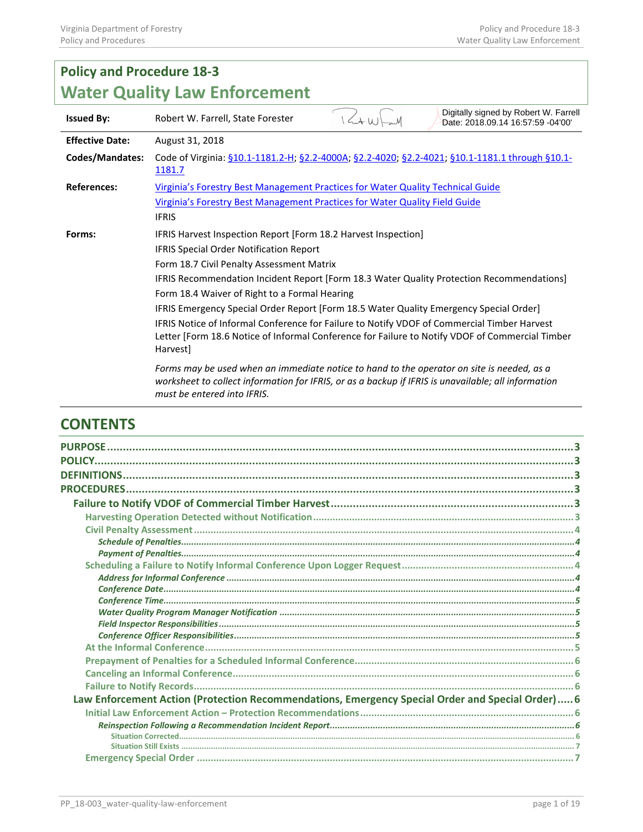| <b>Policy and Procedure 18-3</b>     |                                                                                                                                                                                                                                  |  |  |  |  |
|--------------------------------------|----------------------------------------------------------------------------------------------------------------------------------------------------------------------------------------------------------------------------------|--|--|--|--|
| <b>Water Quality Law Enforcement</b> |                                                                                                                                                                                                                                  |  |  |  |  |
| <b>Issued By:</b>                    | Digitally signed by Robert W. Farrell<br>$1/\sqrt{4\mu}$<br>Robert W. Farrell, State Forester<br>Date: 2018.09.14 16:57:59 -04'00'                                                                                               |  |  |  |  |
| <b>Effective Date:</b>               | August 31, 2018                                                                                                                                                                                                                  |  |  |  |  |
| <b>Codes/Mandates:</b>               | Code of Virginia: §10.1-1181.2-H; §2.2-4000A; §2.2-4020; §2.2-4021; §10.1-1181.1 through §10.1-<br>1181.7                                                                                                                        |  |  |  |  |
| <b>References:</b>                   | Virginia's Forestry Best Management Practices for Water Quality Technical Guide                                                                                                                                                  |  |  |  |  |
|                                      | Virginia's Forestry Best Management Practices for Water Quality Field Guide                                                                                                                                                      |  |  |  |  |
|                                      | <b>IFRIS</b>                                                                                                                                                                                                                     |  |  |  |  |
| Forms:                               | IFRIS Harvest Inspection Report [Form 18.2 Harvest Inspection]                                                                                                                                                                   |  |  |  |  |
|                                      | <b>IFRIS Special Order Notification Report</b>                                                                                                                                                                                   |  |  |  |  |
|                                      | Form 18.7 Civil Penalty Assessment Matrix                                                                                                                                                                                        |  |  |  |  |
|                                      | IFRIS Recommendation Incident Report [Form 18.3 Water Quality Protection Recommendations]                                                                                                                                        |  |  |  |  |
|                                      | Form 18.4 Waiver of Right to a Formal Hearing                                                                                                                                                                                    |  |  |  |  |
|                                      | IFRIS Emergency Special Order Report [Form 18.5 Water Quality Emergency Special Order]                                                                                                                                           |  |  |  |  |
|                                      | IFRIS Notice of Informal Conference for Failure to Notify VDOF of Commercial Timber Harvest<br>Letter [Form 18.6 Notice of Informal Conference for Failure to Notify VDOF of Commercial Timber<br><b>Harvestl</b>                |  |  |  |  |
|                                      | Forms may be used when an immediate notice to hand to the operator on site is needed, as a<br>worksheet to collect information for IFRIS, or as a backup if IFRIS is unavailable; all information<br>must be entered into IFRIS. |  |  |  |  |

# **CONTENTS**

| <b>PURPOSE</b>                                                                                   |  |
|--------------------------------------------------------------------------------------------------|--|
|                                                                                                  |  |
|                                                                                                  |  |
|                                                                                                  |  |
|                                                                                                  |  |
|                                                                                                  |  |
|                                                                                                  |  |
|                                                                                                  |  |
|                                                                                                  |  |
|                                                                                                  |  |
|                                                                                                  |  |
|                                                                                                  |  |
|                                                                                                  |  |
|                                                                                                  |  |
|                                                                                                  |  |
|                                                                                                  |  |
|                                                                                                  |  |
|                                                                                                  |  |
|                                                                                                  |  |
|                                                                                                  |  |
| Law Enforcement Action (Protection Recommendations, Emergency Special Order and Special Order) 6 |  |
|                                                                                                  |  |
|                                                                                                  |  |
|                                                                                                  |  |
|                                                                                                  |  |
|                                                                                                  |  |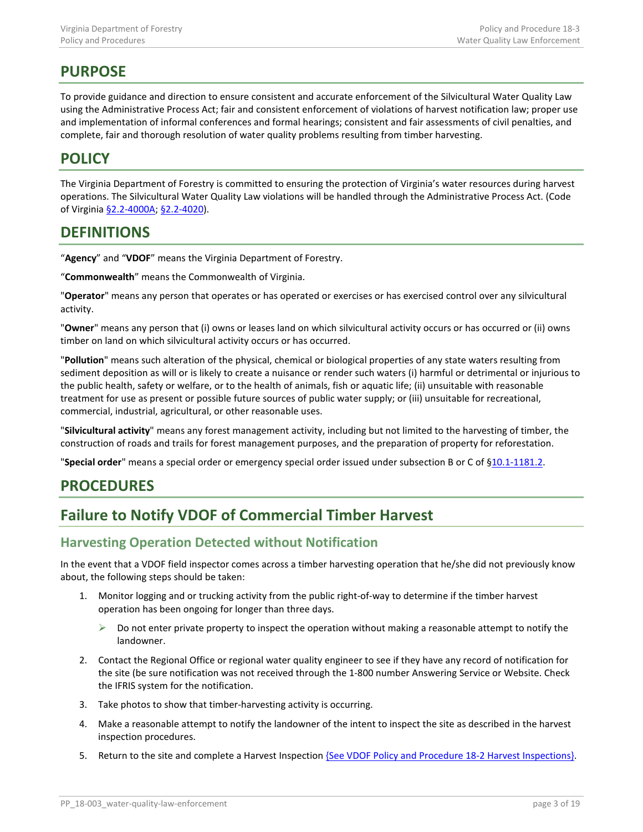# <span id="page-2-0"></span>**PURPOSE**

To provide guidance and direction to ensure consistent and accurate enforcement of the Silvicultural Water Quality Law using the Administrative Process Act; fair and consistent enforcement of violations of harvest notification law; proper use and implementation of informal conferences and formal hearings; consistent and fair assessments of civil penalties, and complete, fair and thorough resolution of water quality problems resulting from timber harvesting.

# <span id="page-2-1"></span>**POLICY**

The Virginia Department of Forestry is committed to ensuring the protection of Virginia's water resources during harvest operations. The Silvicultural Water Quality Law violations will be handled through the Administrative Process Act. (Code of Virginia [§2.2-4000A;](http://law.lis.virginia.gov/vacode/title2.2/chapter40/section2.2-4000/) [§2.2-4020\)](http://law.lis.virginia.gov/vacode/title2.2/chapter40/section2.2-4020/).

# <span id="page-2-2"></span>**DEFINITIONS**

"**Agency**" and "**VDOF**" means the Virginia Department of Forestry.

"**Commonwealth**" means the Commonwealth of Virginia.

"**Operator**" means any person that operates or has operated or exercises or has exercised control over any silvicultural activity.

"**Owner**" means any person that (i) owns or leases land on which silvicultural activity occurs or has occurred or (ii) owns timber on land on which silvicultural activity occurs or has occurred.

"**Pollution**" means such alteration of the physical, chemical or biological properties of any state waters resulting from sediment deposition as will or is likely to create a nuisance or render such waters (i) harmful or detrimental or injurious to the public health, safety or welfare, or to the health of animals, fish or aquatic life; (ii) unsuitable with reasonable treatment for use as present or possible future sources of public water supply; or (iii) unsuitable for recreational, commercial, industrial, agricultural, or other reasonable uses.

"**Silvicultural activity**" means any forest management activity, including but not limited to the harvesting of timber, the construction of roads and trails for forest management purposes, and the preparation of property for reforestation.

"**Special order**" means a special order or emergency special order issued under subsection B or C of [§10.1-1181.2.](http://law.lis.virginia.gov/vacode/10.1-1181.2/)

# <span id="page-2-3"></span>**PROCEDURES**

# <span id="page-2-4"></span>**Failure to Notify VDOF of Commercial Timber Harvest**

## <span id="page-2-5"></span>**Harvesting Operation Detected without Notification**

In the event that a VDOF field inspector comes across a timber harvesting operation that he/she did not previously know about, the following steps should be taken:

- 1. Monitor logging and or trucking activity from the public right-of-way to determine if the timber harvest operation has been ongoing for longer than three days.
	- $\triangleright$  Do not enter private property to inspect the operation without making a reasonable attempt to notify the landowner.
- 2. Contact the Regional Office or regional water quality engineer to see if they have any record of notification for the site (be sure notification was not received through the 1-800 number Answering Service or Website. Check the IFRIS system for the notification.
- 3. Take photos to show that timber-harvesting activity is occurring.
- 4. Make a reasonable attempt to notify the landowner of the intent to inspect the site as described in the harvest inspection procedures.
- 5. Return to the site and complete a Harvest Inspection **{See VDOF Policy and Procedure 18-2 Harvest Inspections}**.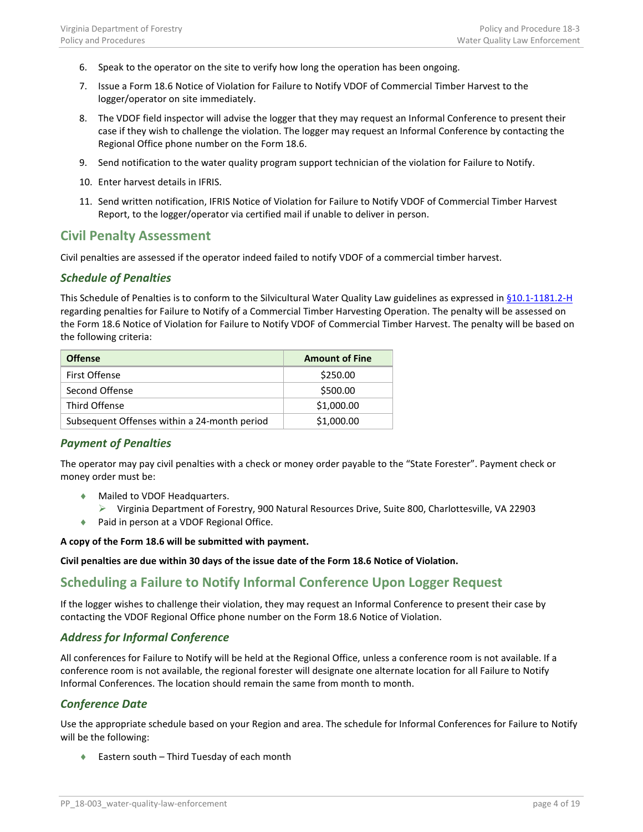- 6. Speak to the operator on the site to verify how long the operation has been ongoing.
- 7. Issue a Form 18.6 Notice of Violation for Failure to Notify VDOF of Commercial Timber Harvest to the logger/operator on site immediately.
- 8. The VDOF field inspector will advise the logger that they may request an Informal Conference to present their case if they wish to challenge the violation. The logger may request an Informal Conference by contacting the Regional Office phone number on the Form 18.6.
- 9. Send notification to the water quality program support technician of the violation for Failure to Notify.
- 10. Enter harvest details in IFRIS.
- 11. Send written notification, IFRIS Notice of Violation for Failure to Notify VDOF of Commercial Timber Harvest Report, to the logger/operator via certified mail if unable to deliver in person.

## <span id="page-3-0"></span>**Civil Penalty Assessment**

Civil penalties are assessed if the operator indeed failed to notify VDOF of a commercial timber harvest.

### <span id="page-3-1"></span>*Schedule of Penalties*

This Schedule of Penalties is to conform to the Silvicultural Water Quality Law guidelines as expressed i[n §10.1-1181.2-H](http://law.lis.virginia.gov/vacode/title10.1/chapter11/section10.1-1181.2/) regarding penalties for Failure to Notify of a Commercial Timber Harvesting Operation. The penalty will be assessed on the Form 18.6 Notice of Violation for Failure to Notify VDOF of Commercial Timber Harvest. The penalty will be based on the following criteria:

| <b>Offense</b>                               | <b>Amount of Fine</b> |
|----------------------------------------------|-----------------------|
| First Offense                                | \$250.00              |
| Second Offense                               | \$500.00              |
| Third Offense                                | \$1,000.00            |
| Subsequent Offenses within a 24-month period | \$1,000.00            |

### <span id="page-3-2"></span>*Payment of Penalties*

The operator may pay civil penalties with a check or money order payable to the "State Forester". Payment check or money order must be:

- ♦ Mailed to VDOF Headquarters.
	- Virginia Department of Forestry, 900 Natural Resources Drive, Suite 800, Charlottesville, VA 22903
- ♦ Paid in person at a VDOF Regional Office.

#### **A copy of the Form 18.6 will be submitted with payment.**

**Civil penalties are due within 30 days of the issue date of the Form 18.6 Notice of Violation.**

## <span id="page-3-3"></span>**Scheduling a Failure to Notify Informal Conference Upon Logger Request**

If the logger wishes to challenge their violation, they may request an Informal Conference to present their case by contacting the VDOF Regional Office phone number on the Form 18.6 Notice of Violation.

### <span id="page-3-4"></span>*Address for Informal Conference*

All conferences for Failure to Notify will be held at the Regional Office, unless a conference room is not available. If a conference room is not available, the regional forester will designate one alternate location for all Failure to Notify Informal Conferences. The location should remain the same from month to month.

### <span id="page-3-5"></span>*Conference Date*

Use the appropriate schedule based on your Region and area. The schedule for Informal Conferences for Failure to Notify will be the following:

♦ Eastern south – Third Tuesday of each month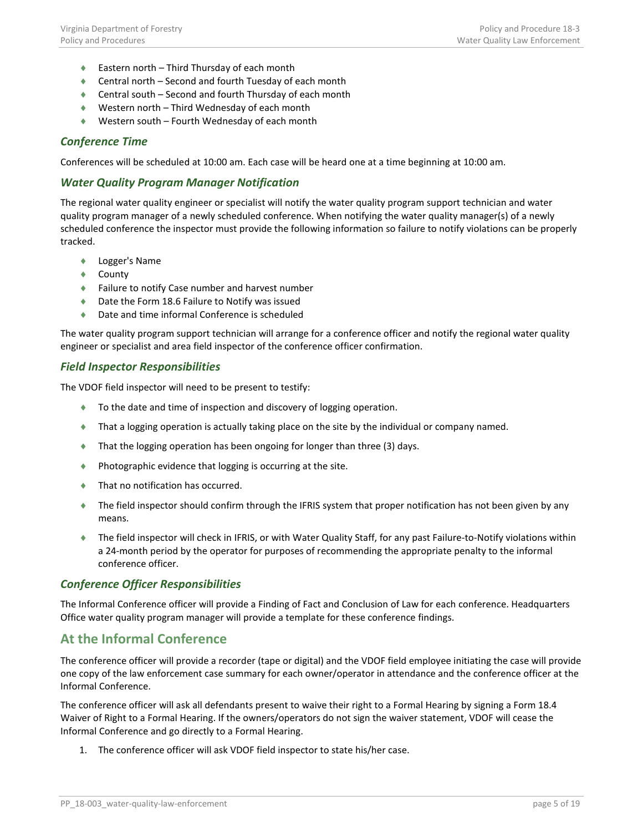- ♦ Eastern north Third Thursday of each month
- ♦ Central north Second and fourth Tuesday of each month
- ♦ Central south Second and fourth Thursday of each month
- ♦ Western north Third Wednesday of each month
- ♦ Western south Fourth Wednesday of each month

### <span id="page-4-0"></span>*Conference Time*

Conferences will be scheduled at 10:00 am. Each case will be heard one at a time beginning at 10:00 am.

### <span id="page-4-1"></span>*Water Quality Program Manager Notification*

The regional water quality engineer or specialist will notify the water quality program support technician and water quality program manager of a newly scheduled conference. When notifying the water quality manager(s) of a newly scheduled conference the inspector must provide the following information so failure to notify violations can be properly tracked.

- ♦ Logger's Name
- ♦ County
- ♦ Failure to notify Case number and harvest number
- ♦ Date the Form 18.6 Failure to Notify was issued
- ♦ Date and time informal Conference is scheduled

The water quality program support technician will arrange for a conference officer and notify the regional water quality engineer or specialist and area field inspector of the conference officer confirmation.

### <span id="page-4-2"></span>*Field Inspector Responsibilities*

The VDOF field inspector will need to be present to testify:

- ♦ To the date and time of inspection and discovery of logging operation.
- ♦ That a logging operation is actually taking place on the site by the individual or company named.
- ♦ That the logging operation has been ongoing for longer than three (3) days.
- ♦ Photographic evidence that logging is occurring at the site.
- ♦ That no notification has occurred.
- ♦ The field inspector should confirm through the IFRIS system that proper notification has not been given by any means.
- ♦ The field inspector will check in IFRIS, or with Water Quality Staff, for any past Failure-to-Notify violations within a 24-month period by the operator for purposes of recommending the appropriate penalty to the informal conference officer.

### <span id="page-4-3"></span>*Conference Officer Responsibilities*

The Informal Conference officer will provide a Finding of Fact and Conclusion of Law for each conference. Headquarters Office water quality program manager will provide a template for these conference findings.

## <span id="page-4-4"></span>**At the Informal Conference**

The conference officer will provide a recorder (tape or digital) and the VDOF field employee initiating the case will provide one copy of the law enforcement case summary for each owner/operator in attendance and the conference officer at the Informal Conference.

The conference officer will ask all defendants present to waive their right to a Formal Hearing by signing a Form 18.4 Waiver of Right to a Formal Hearing. If the owners/operators do not sign the waiver statement, VDOF will cease the Informal Conference and go directly to a Formal Hearing.

1. The conference officer will ask VDOF field inspector to state his/her case.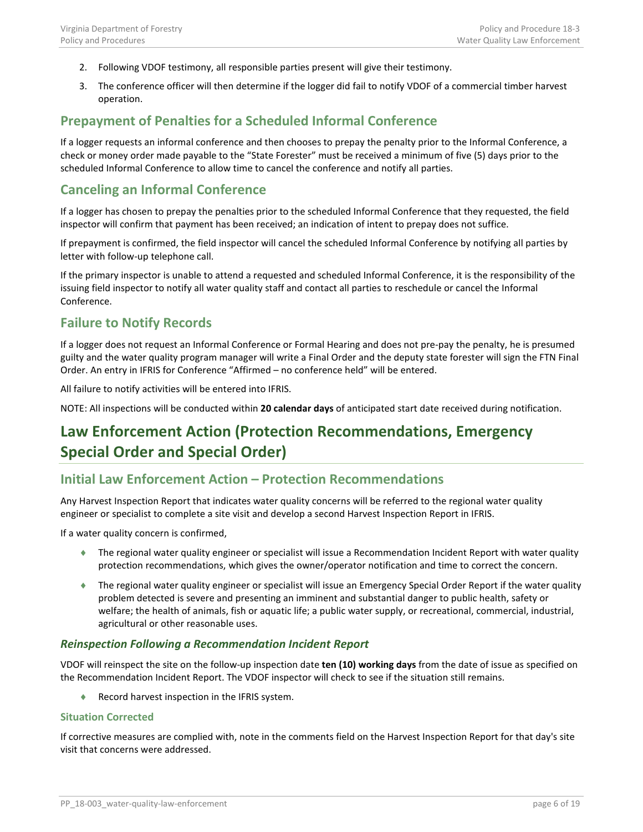- 2. Following VDOF testimony, all responsible parties present will give their testimony.
- 3. The conference officer will then determine if the logger did fail to notify VDOF of a commercial timber harvest operation.

## <span id="page-5-0"></span>**Prepayment of Penalties for a Scheduled Informal Conference**

If a logger requests an informal conference and then chooses to prepay the penalty prior to the Informal Conference, a check or money order made payable to the "State Forester" must be received a minimum of five (5) days prior to the scheduled Informal Conference to allow time to cancel the conference and notify all parties.

## <span id="page-5-1"></span>**Canceling an Informal Conference**

If a logger has chosen to prepay the penalties prior to the scheduled Informal Conference that they requested, the field inspector will confirm that payment has been received; an indication of intent to prepay does not suffice.

If prepayment is confirmed, the field inspector will cancel the scheduled Informal Conference by notifying all parties by letter with follow-up telephone call.

If the primary inspector is unable to attend a requested and scheduled Informal Conference, it is the responsibility of the issuing field inspector to notify all water quality staff and contact all parties to reschedule or cancel the Informal Conference.

## <span id="page-5-2"></span>**Failure to Notify Records**

If a logger does not request an Informal Conference or Formal Hearing and does not pre-pay the penalty, he is presumed guilty and the water quality program manager will write a Final Order and the deputy state forester will sign the FTN Final Order. An entry in IFRIS for Conference "Affirmed – no conference held" will be entered.

All failure to notify activities will be entered into IFRIS.

NOTE: All inspections will be conducted within **20 calendar days** of anticipated start date received during notification.

# <span id="page-5-3"></span>**Law Enforcement Action (Protection Recommendations, Emergency Special Order and Special Order)**

## <span id="page-5-4"></span>**Initial Law Enforcement Action – Protection Recommendations**

Any Harvest Inspection Report that indicates water quality concerns will be referred to the regional water quality engineer or specialist to complete a site visit and develop a second Harvest Inspection Report in IFRIS.

If a water quality concern is confirmed,

- ♦ The regional water quality engineer or specialist will issue a Recommendation Incident Report with water quality protection recommendations, which gives the owner/operator notification and time to correct the concern.
- ♦ The regional water quality engineer or specialist will issue an Emergency Special Order Report if the water quality problem detected is severe and presenting an imminent and substantial danger to public health, safety or welfare; the health of animals, fish or aquatic life; a public water supply, or recreational, commercial, industrial, agricultural or other reasonable uses.

### <span id="page-5-5"></span>*Reinspection Following a Recommendation Incident Report*

VDOF will reinspect the site on the follow-up inspection date **ten (10) working days** from the date of issue as specified on the Recommendation Incident Report. The VDOF inspector will check to see if the situation still remains.

♦ Record harvest inspection in the IFRIS system.

### <span id="page-5-6"></span>**Situation Corrected**

If corrective measures are complied with, note in the comments field on the Harvest Inspection Report for that day's site visit that concerns were addressed.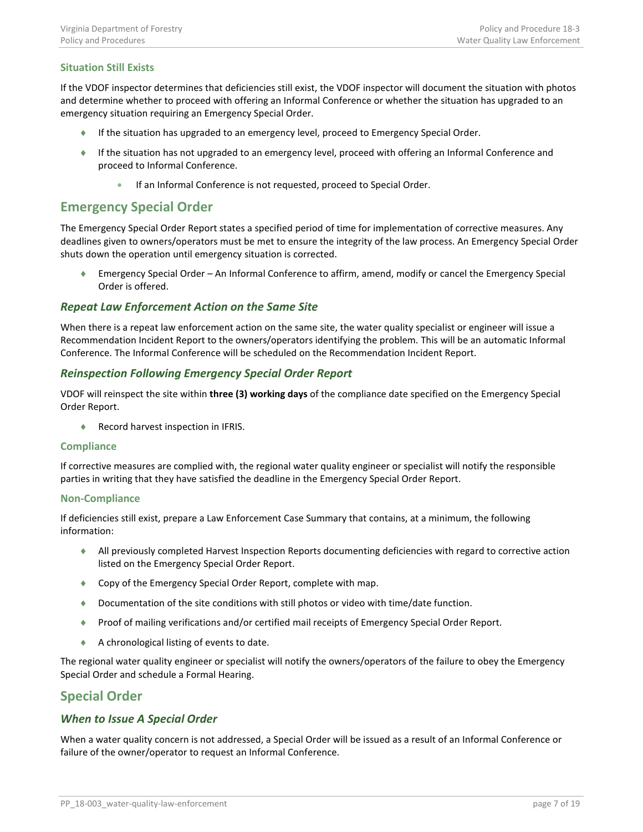### <span id="page-6-0"></span>**Situation Still Exists**

If the VDOF inspector determines that deficiencies still exist, the VDOF inspector will document the situation with photos and determine whether to proceed with offering an Informal Conference or whether the situation has upgraded to an emergency situation requiring an Emergency Special Order.

- ♦ If the situation has upgraded to an emergency level, proceed to Emergency Special Order.
- ♦ If the situation has not upgraded to an emergency level, proceed with offering an Informal Conference and proceed to Informal Conference.
	- If an Informal Conference is not requested, proceed to Special Order.

### <span id="page-6-1"></span>**Emergency Special Order**

The Emergency Special Order Report states a specified period of time for implementation of corrective measures. Any deadlines given to owners/operators must be met to ensure the integrity of the law process. An Emergency Special Order shuts down the operation until emergency situation is corrected.

♦ Emergency Special Order – An Informal Conference to affirm, amend, modify or cancel the Emergency Special Order is offered.

### <span id="page-6-2"></span>*Repeat Law Enforcement Action on the Same Site*

When there is a repeat law enforcement action on the same site, the water quality specialist or engineer will issue a Recommendation Incident Report to the owners/operators identifying the problem. This will be an automatic Informal Conference. The Informal Conference will be scheduled on the Recommendation Incident Report.

### <span id="page-6-3"></span>*Reinspection Following Emergency Special Order Report*

VDOF will reinspect the site within **three (3) working days** of the compliance date specified on the Emergency Special Order Report.

♦ Record harvest inspection in IFRIS.

#### <span id="page-6-4"></span>**Compliance**

If corrective measures are complied with, the regional water quality engineer or specialist will notify the responsible parties in writing that they have satisfied the deadline in the Emergency Special Order Report.

#### <span id="page-6-5"></span>**Non-Compliance**

If deficiencies still exist, prepare a Law Enforcement Case Summary that contains, at a minimum, the following information:

- ♦ All previously completed Harvest Inspection Reports documenting deficiencies with regard to corrective action listed on the Emergency Special Order Report.
- ♦ Copy of the Emergency Special Order Report, complete with map.
- ♦ Documentation of the site conditions with still photos or video with time/date function.
- ♦ Proof of mailing verifications and/or certified mail receipts of Emergency Special Order Report.
- ♦ A chronological listing of events to date.

The regional water quality engineer or specialist will notify the owners/operators of the failure to obey the Emergency Special Order and schedule a Formal Hearing.

## <span id="page-6-6"></span>**Special Order**

### <span id="page-6-7"></span>*When to Issue A Special Order*

When a water quality concern is not addressed, a Special Order will be issued as a result of an Informal Conference or failure of the owner/operator to request an Informal Conference.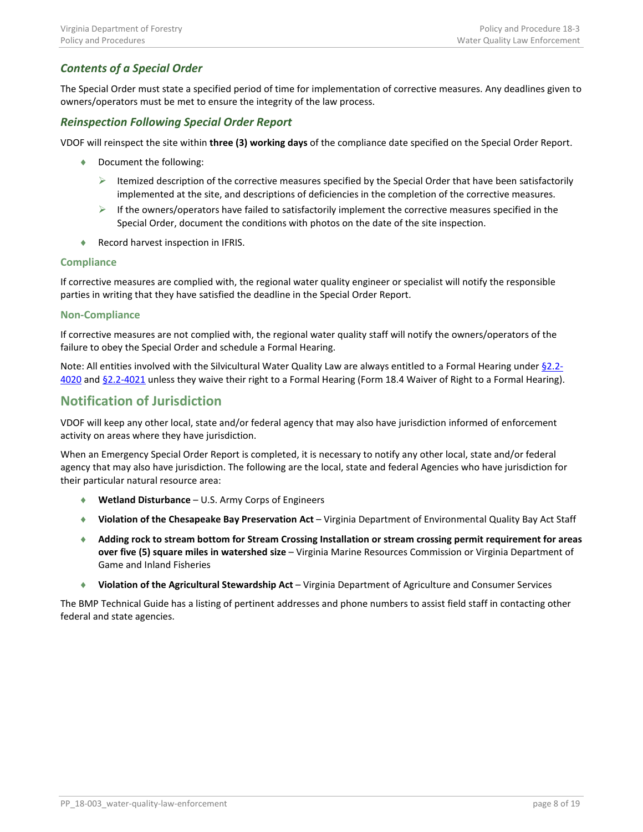## <span id="page-7-0"></span>*Contents of a Special Order*

The Special Order must state a specified period of time for implementation of corrective measures. Any deadlines given to owners/operators must be met to ensure the integrity of the law process.

### <span id="page-7-1"></span>*Reinspection Following Special Order Report*

VDOF will reinspect the site within **three (3) working days** of the compliance date specified on the Special Order Report.

- ♦ Document the following:
	- $\triangleright$  Itemized description of the corrective measures specified by the Special Order that have been satisfactorily implemented at the site, and descriptions of deficiencies in the completion of the corrective measures.
	- $\triangleright$  If the owners/operators have failed to satisfactorily implement the corrective measures specified in the Special Order, document the conditions with photos on the date of the site inspection.
- ♦ Record harvest inspection in IFRIS.

#### <span id="page-7-2"></span>**Compliance**

If corrective measures are complied with, the regional water quality engineer or specialist will notify the responsible parties in writing that they have satisfied the deadline in the Special Order Report.

#### <span id="page-7-3"></span>**Non-Compliance**

If corrective measures are not complied with, the regional water quality staff will notify the owners/operators of the failure to obey the Special Order and schedule a Formal Hearing.

Note: All entities involved with the Silvicultural Water Quality Law are always entitled to a Formal Hearing under [§2.2-](http://law.lis.virginia.gov/vacode/title2.2/chapter40/section2.2-4020/) [4020](http://law.lis.virginia.gov/vacode/title2.2/chapter40/section2.2-4020/) an[d §2.2-4021](http://law.lis.virginia.gov/vacode/title2.2/chapter40/section2.2-4021/) unless they waive their right to a Formal Hearing (Form 18.4 Waiver of Right to a Formal Hearing).

## <span id="page-7-4"></span>**Notification of Jurisdiction**

VDOF will keep any other local, state and/or federal agency that may also have jurisdiction informed of enforcement activity on areas where they have jurisdiction.

When an Emergency Special Order Report is completed, it is necessary to notify any other local, state and/or federal agency that may also have jurisdiction. The following are the local, state and federal Agencies who have jurisdiction for their particular natural resource area:

- ♦ **Wetland Disturbance** U.S. Army Corps of Engineers
- ♦ **Violation of the Chesapeake Bay Preservation Act** Virginia Department of Environmental Quality Bay Act Staff
- ♦ **Adding rock to stream bottom for Stream Crossing Installation or stream crossing permit requirement for areas over five (5) square miles in watershed size** – Virginia Marine Resources Commission or Virginia Department of Game and Inland Fisheries
- ♦ **Violation of the Agricultural Stewardship Act** Virginia Department of Agriculture and Consumer Services

The BMP Technical Guide has a listing of pertinent addresses and phone numbers to assist field staff in contacting other federal and state agencies.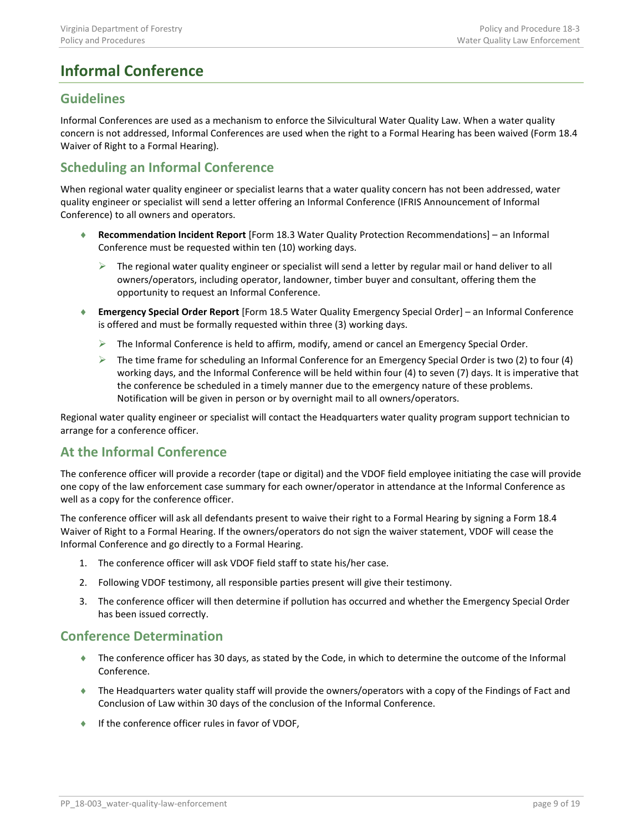# <span id="page-8-0"></span>**Informal Conference**

## <span id="page-8-1"></span>**Guidelines**

Informal Conferences are used as a mechanism to enforce the Silvicultural Water Quality Law. When a water quality concern is not addressed, Informal Conferences are used when the right to a Formal Hearing has been waived (Form 18.4 Waiver of Right to a Formal Hearing).

## <span id="page-8-2"></span>**Scheduling an Informal Conference**

When regional water quality engineer or specialist learns that a water quality concern has not been addressed, water quality engineer or specialist will send a letter offering an Informal Conference (IFRIS Announcement of Informal Conference) to all owners and operators.

- ♦ **Recommendation Incident Report** [Form 18.3 Water Quality Protection Recommendations] an Informal Conference must be requested within ten (10) working days.
	- $\triangleright$  The regional water quality engineer or specialist will send a letter by regular mail or hand deliver to all owners/operators, including operator, landowner, timber buyer and consultant, offering them the opportunity to request an Informal Conference.
- ♦ **Emergency Special Order Report** [Form 18.5 Water Quality Emergency Special Order] an Informal Conference is offered and must be formally requested within three (3) working days.
	- The Informal Conference is held to affirm, modify, amend or cancel an Emergency Special Order.
	- $\triangleright$  The time frame for scheduling an Informal Conference for an Emergency Special Order is two (2) to four (4) working days, and the Informal Conference will be held within four (4) to seven (7) days. It is imperative that the conference be scheduled in a timely manner due to the emergency nature of these problems. Notification will be given in person or by overnight mail to all owners/operators.

Regional water quality engineer or specialist will contact the Headquarters water quality program support technician to arrange for a conference officer.

## <span id="page-8-3"></span>**At the Informal Conference**

The conference officer will provide a recorder (tape or digital) and the VDOF field employee initiating the case will provide one copy of the law enforcement case summary for each owner/operator in attendance at the Informal Conference as well as a copy for the conference officer.

The conference officer will ask all defendants present to waive their right to a Formal Hearing by signing a Form 18.4 Waiver of Right to a Formal Hearing. If the owners/operators do not sign the waiver statement, VDOF will cease the Informal Conference and go directly to a Formal Hearing.

- 1. The conference officer will ask VDOF field staff to state his/her case.
- 2. Following VDOF testimony, all responsible parties present will give their testimony.
- 3. The conference officer will then determine if pollution has occurred and whether the Emergency Special Order has been issued correctly.

## <span id="page-8-4"></span>**Conference Determination**

- ♦ The conference officer has 30 days, as stated by the Code, in which to determine the outcome of the Informal Conference.
- ♦ The Headquarters water quality staff will provide the owners/operators with a copy of the Findings of Fact and Conclusion of Law within 30 days of the conclusion of the Informal Conference.
- ♦ If the conference officer rules in favor of VDOF,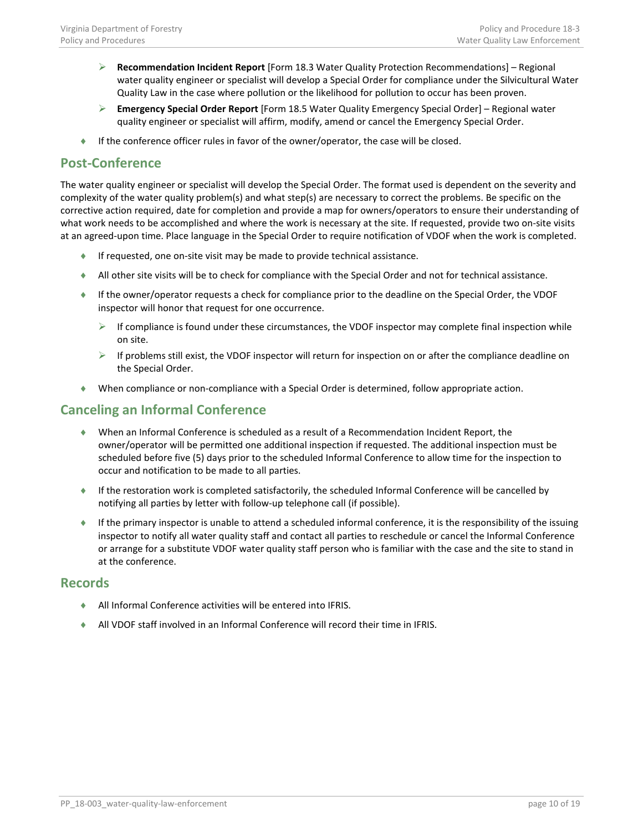- **Recommendation Incident Report** [Form 18.3 Water Quality Protection Recommendations] Regional water quality engineer or specialist will develop a Special Order for compliance under the Silvicultural Water Quality Law in the case where pollution or the likelihood for pollution to occur has been proven.
- **Emergency Special Order Report** [Form 18.5 Water Quality Emergency Special Order] Regional water quality engineer or specialist will affirm, modify, amend or cancel the Emergency Special Order.
- If the conference officer rules in favor of the owner/operator, the case will be closed.

## <span id="page-9-0"></span>**Post-Conference**

The water quality engineer or specialist will develop the Special Order. The format used is dependent on the severity and complexity of the water quality problem(s) and what step(s) are necessary to correct the problems. Be specific on the corrective action required, date for completion and provide a map for owners/operators to ensure their understanding of what work needs to be accomplished and where the work is necessary at the site. If requested, provide two on-site visits at an agreed-upon time. Place language in the Special Order to require notification of VDOF when the work is completed.

- ♦ If requested, one on-site visit may be made to provide technical assistance.
- ♦ All other site visits will be to check for compliance with the Special Order and not for technical assistance.
- ♦ If the owner/operator requests a check for compliance prior to the deadline on the Special Order, the VDOF inspector will honor that request for one occurrence.
	- $\triangleright$  If compliance is found under these circumstances, the VDOF inspector may complete final inspection while on site.
	- $\triangleright$  If problems still exist, the VDOF inspector will return for inspection on or after the compliance deadline on the Special Order.
- ♦ When compliance or non-compliance with a Special Order is determined, follow appropriate action.

## <span id="page-9-1"></span>**Canceling an Informal Conference**

- ♦ When an Informal Conference is scheduled as a result of a Recommendation Incident Report, the owner/operator will be permitted one additional inspection if requested. The additional inspection must be scheduled before five (5) days prior to the scheduled Informal Conference to allow time for the inspection to occur and notification to be made to all parties.
- If the restoration work is completed satisfactorily, the scheduled Informal Conference will be cancelled by notifying all parties by letter with follow-up telephone call (if possible).
- ♦ If the primary inspector is unable to attend a scheduled informal conference, it is the responsibility of the issuing inspector to notify all water quality staff and contact all parties to reschedule or cancel the Informal Conference or arrange for a substitute VDOF water quality staff person who is familiar with the case and the site to stand in at the conference.

## <span id="page-9-2"></span>**Records**

- ♦ All Informal Conference activities will be entered into IFRIS.
- ♦ All VDOF staff involved in an Informal Conference will record their time in IFRIS.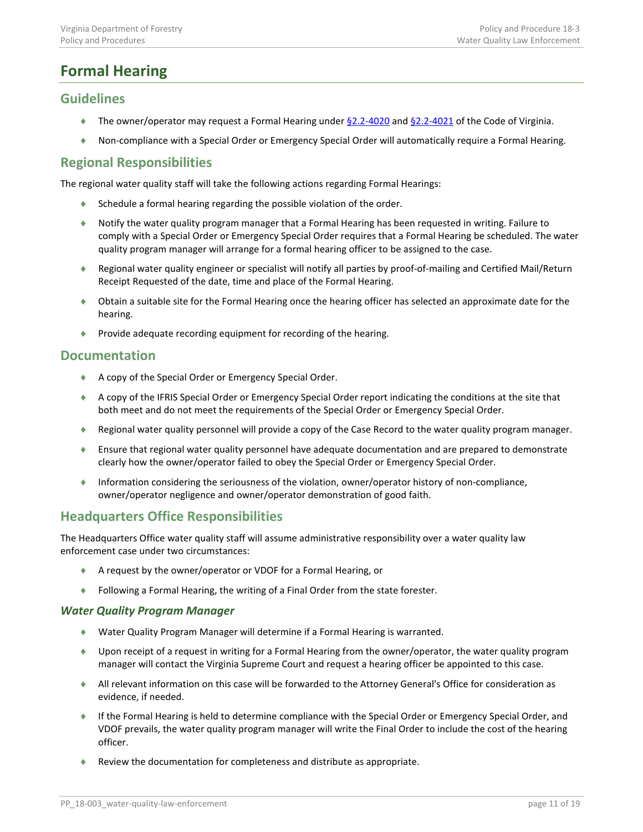# <span id="page-10-0"></span>**Formal Hearing**

## <span id="page-10-1"></span>**Guidelines**

- ♦ The owner/operator may request a Formal Hearing unde[r §2.2-4020](http://law.lis.virginia.gov/vacode/title2.2/chapter40/section2.2-4020/) and [§2.2-4021](http://law.lis.virginia.gov/vacode/title2.2/chapter40/section2.2-4021/) of the Code of Virginia.
- ♦ Non-compliance with a Special Order or Emergency Special Order will automatically require a Formal Hearing.

## <span id="page-10-2"></span>**Regional Responsibilities**

The regional water quality staff will take the following actions regarding Formal Hearings:

- $\bullet$  Schedule a formal hearing regarding the possible violation of the order.
- ♦ Notify the water quality program manager that a Formal Hearing has been requested in writing. Failure to comply with a Special Order or Emergency Special Order requires that a Formal Hearing be scheduled. The water quality program manager will arrange for a formal hearing officer to be assigned to the case.
- ♦ Regional water quality engineer or specialist will notify all parties by proof-of-mailing and Certified Mail/Return Receipt Requested of the date, time and place of the Formal Hearing.
- ♦ Obtain a suitable site for the Formal Hearing once the hearing officer has selected an approximate date for the hearing.
- ♦ Provide adequate recording equipment for recording of the hearing.

## <span id="page-10-3"></span>**Documentation**

- ♦ A copy of the Special Order or Emergency Special Order.
- ♦ A copy of the IFRIS Special Order or Emergency Special Order report indicating the conditions at the site that both meet and do not meet the requirements of the Special Order or Emergency Special Order.
- ♦ Regional water quality personnel will provide a copy of the Case Record to the water quality program manager.
- ♦ Ensure that regional water quality personnel have adequate documentation and are prepared to demonstrate clearly how the owner/operator failed to obey the Special Order or Emergency Special Order.
- ♦ Information considering the seriousness of the violation, owner/operator history of non-compliance, owner/operator negligence and owner/operator demonstration of good faith.

## <span id="page-10-4"></span>**Headquarters Office Responsibilities**

The Headquarters Office water quality staff will assume administrative responsibility over a water quality law enforcement case under two circumstances:

- A request by the owner/operator or VDOF for a Formal Hearing, or
- ♦ Following a Formal Hearing, the writing of a Final Order from the state forester.

### <span id="page-10-5"></span>*Water Quality Program Manager*

- ♦ Water Quality Program Manager will determine if a Formal Hearing is warranted.
- ♦ Upon receipt of a request in writing for a Formal Hearing from the owner/operator, the water quality program manager will contact the Virginia Supreme Court and request a hearing officer be appointed to this case.
- ♦ All relevant information on this case will be forwarded to the Attorney General's Office for consideration as evidence, if needed.
- ♦ If the Formal Hearing is held to determine compliance with the Special Order or Emergency Special Order, and VDOF prevails, the water quality program manager will write the Final Order to include the cost of the hearing officer.
- ♦ Review the documentation for completeness and distribute as appropriate.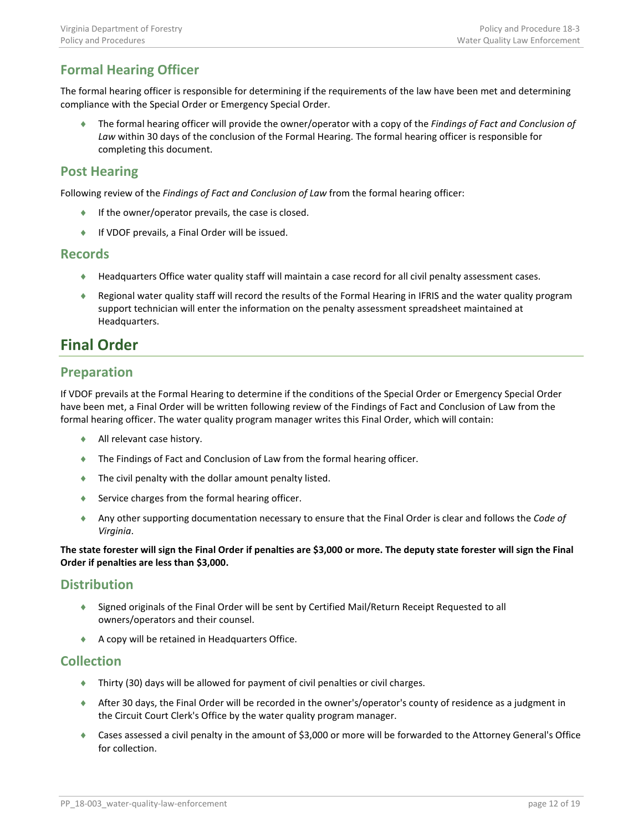# <span id="page-11-0"></span>**Formal Hearing Officer**

The formal hearing officer is responsible for determining if the requirements of the law have been met and determining compliance with the Special Order or Emergency Special Order.

♦ The formal hearing officer will provide the owner/operator with a copy of the *Findings of Fact and Conclusion of Law* within 30 days of the conclusion of the Formal Hearing. The formal hearing officer is responsible for completing this document.

## <span id="page-11-1"></span>**Post Hearing**

Following review of the *Findings of Fact and Conclusion of Law* from the formal hearing officer:

- ♦ If the owner/operator prevails, the case is closed.
- ♦ If VDOF prevails, a Final Order will be issued.

### <span id="page-11-2"></span>**Records**

- ♦ Headquarters Office water quality staff will maintain a case record for all civil penalty assessment cases.
- ♦ Regional water quality staff will record the results of the Formal Hearing in IFRIS and the water quality program support technician will enter the information on the penalty assessment spreadsheet maintained at Headquarters.

# <span id="page-11-3"></span>**Final Order**

## <span id="page-11-4"></span>**Preparation**

If VDOF prevails at the Formal Hearing to determine if the conditions of the Special Order or Emergency Special Order have been met, a Final Order will be written following review of the Findings of Fact and Conclusion of Law from the formal hearing officer. The water quality program manager writes this Final Order, which will contain:

- ♦ All relevant case history.
- ♦ The Findings of Fact and Conclusion of Law from the formal hearing officer.
- ♦ The civil penalty with the dollar amount penalty listed.
- ♦ Service charges from the formal hearing officer.
- ♦ Any other supporting documentation necessary to ensure that the Final Order is clear and follows the *Code of Virginia*.

**The state forester will sign the Final Order if penalties are \$3,000 or more. The deputy state forester will sign the Final Order if penalties are less than \$3,000.**

## <span id="page-11-5"></span>**Distribution**

- ♦ Signed originals of the Final Order will be sent by Certified Mail/Return Receipt Requested to all owners/operators and their counsel.
- ♦ A copy will be retained in Headquarters Office.

## <span id="page-11-6"></span>**Collection**

- $\bullet$  Thirty (30) days will be allowed for payment of civil penalties or civil charges.
- ♦ After 30 days, the Final Order will be recorded in the owner's/operator's county of residence as a judgment in the Circuit Court Clerk's Office by the water quality program manager.
- ♦ Cases assessed a civil penalty in the amount of \$3,000 or more will be forwarded to the Attorney General's Office for collection.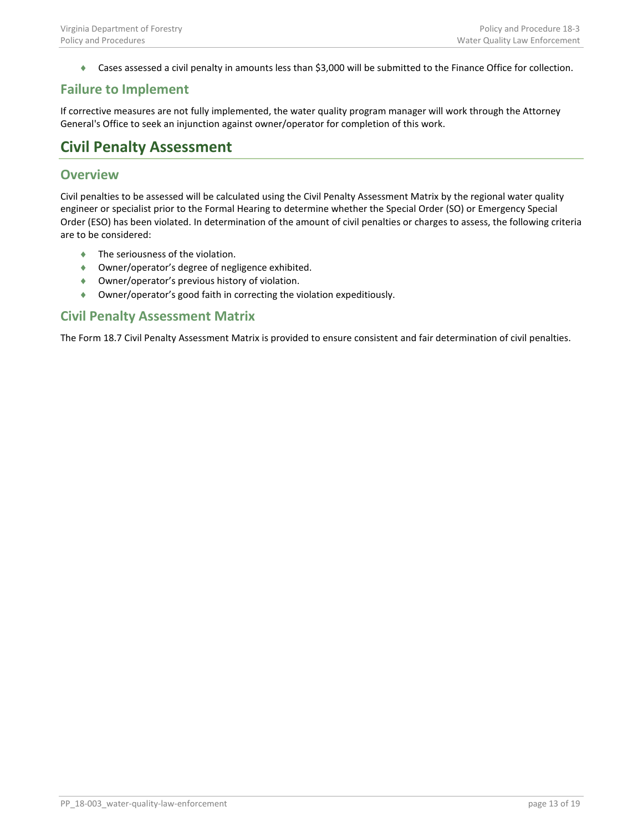♦ Cases assessed a civil penalty in amounts less than \$3,000 will be submitted to the Finance Office for collection.

## <span id="page-12-0"></span>**Failure to Implement**

If corrective measures are not fully implemented, the water quality program manager will work through the Attorney General's Office to seek an injunction against owner/operator for completion of this work.

# <span id="page-12-1"></span>**Civil Penalty Assessment**

## <span id="page-12-2"></span>**Overview**

Civil penalties to be assessed will be calculated using the Civil Penalty Assessment Matrix by the regional water quality engineer or specialist prior to the Formal Hearing to determine whether the Special Order (SO) or Emergency Special Order (ESO) has been violated. In determination of the amount of civil penalties or charges to assess, the following criteria are to be considered:

- ♦ The seriousness of the violation.
- ♦ Owner/operator's degree of negligence exhibited.
- ♦ Owner/operator's previous history of violation.
- ♦ Owner/operator's good faith in correcting the violation expeditiously.

## <span id="page-12-3"></span>**Civil Penalty Assessment Matrix**

The Form 18.7 Civil Penalty Assessment Matrix is provided to ensure consistent and fair determination of civil penalties.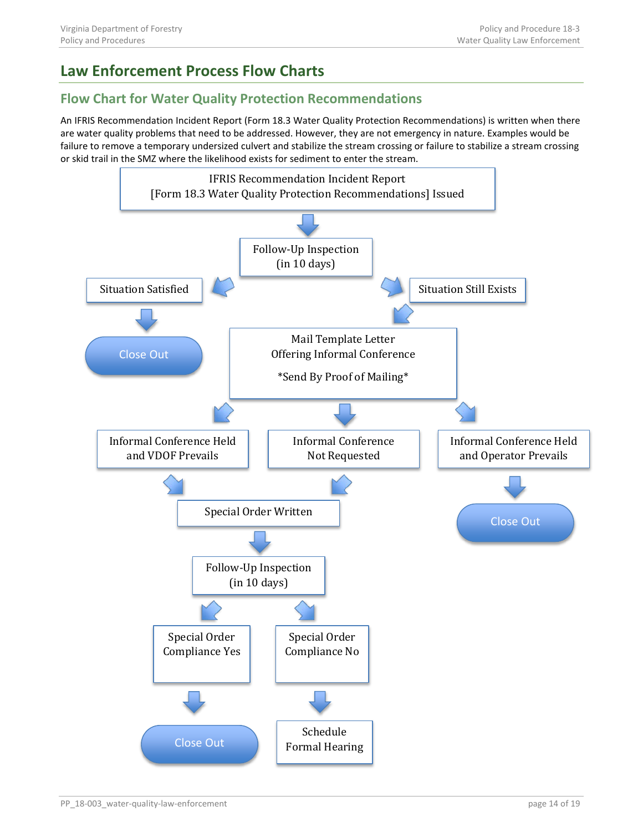# <span id="page-13-0"></span>**Law Enforcement Process Flow Charts**

## <span id="page-13-1"></span>**Flow Chart for Water Quality Protection Recommendations**

An IFRIS Recommendation Incident Report (Form 18.3 Water Quality Protection Recommendations) is written when there are water quality problems that need to be addressed. However, they are not emergency in nature. Examples would be failure to remove a temporary undersized culvert and stabilize the stream crossing or failure to stabilize a stream crossing or skid trail in the SMZ where the likelihood exists for sediment to enter the stream.

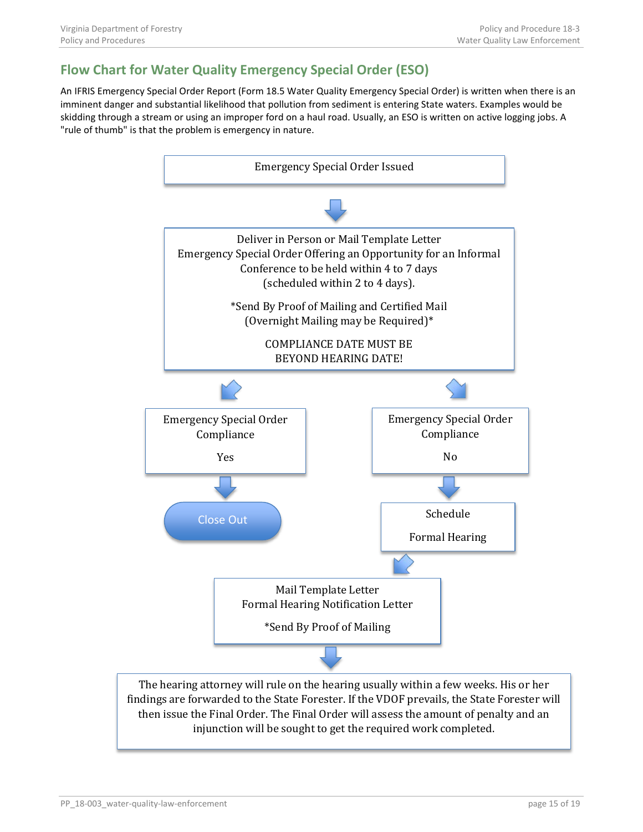# <span id="page-14-0"></span>**Flow Chart for Water Quality Emergency Special Order (ESO)**

An IFRIS Emergency Special Order Report (Form 18.5 Water Quality Emergency Special Order) is written when there is an imminent danger and substantial likelihood that pollution from sediment is entering State waters. Examples would be skidding through a stream or using an improper ford on a haul road. Usually, an ESO is written on active logging jobs. A "rule of thumb" is that the problem is emergency in nature.



findings are forwarded to the State Forester. If the VDOF prevails, the State Forester will then issue the Final Order. The Final Order will assess the amount of penalty and an injunction will be sought to get the required work completed.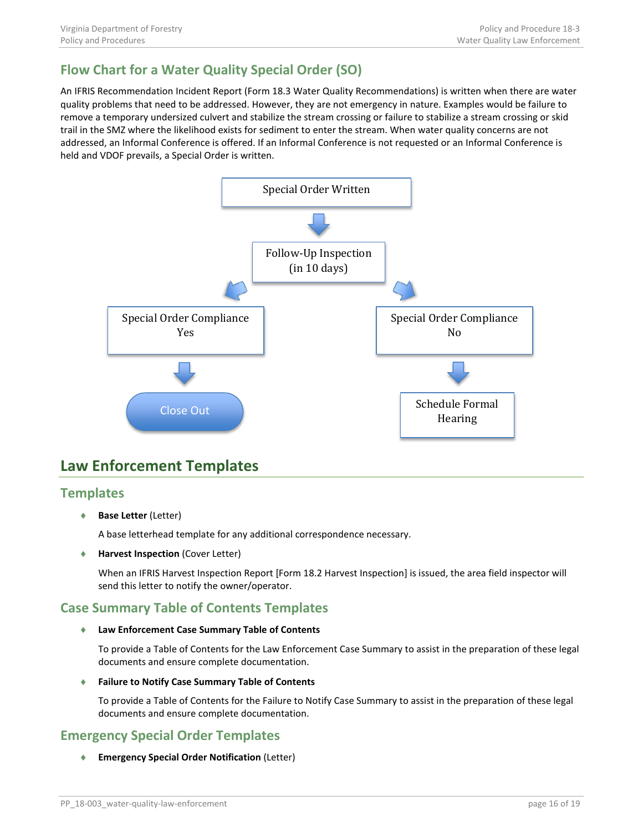# <span id="page-15-0"></span>**Flow Chart for a Water Quality Special Order (SO)**

An IFRIS Recommendation Incident Report (Form 18.3 Water Quality Recommendations) is written when there are water quality problems that need to be addressed. However, they are not emergency in nature. Examples would be failure to remove a temporary undersized culvert and stabilize the stream crossing or failure to stabilize a stream crossing or skid trail in the SMZ where the likelihood exists for sediment to enter the stream. When water quality concerns are not addressed, an Informal Conference is offered. If an Informal Conference is not requested or an Informal Conference is held and VDOF prevails, a Special Order is written.



# <span id="page-15-1"></span>**Law Enforcement Templates**

## <span id="page-15-2"></span>**Templates**

♦ **Base Letter** (Letter)

A base letterhead template for any additional correspondence necessary.

♦ **Harvest Inspection** (Cover Letter)

When an IFRIS Harvest Inspection Report [Form 18.2 Harvest Inspection] is issued, the area field inspector will send this letter to notify the owner/operator.

## <span id="page-15-3"></span>**Case Summary Table of Contents Templates**

♦ **Law Enforcement Case Summary Table of Contents**

To provide a Table of Contents for the Law Enforcement Case Summary to assist in the preparation of these legal documents and ensure complete documentation.

♦ **Failure to Notify Case Summary Table of Contents**

To provide a Table of Contents for the Failure to Notify Case Summary to assist in the preparation of these legal documents and ensure complete documentation.

## <span id="page-15-4"></span>**Emergency Special Order Templates**

♦ **Emergency Special Order Notification** (Letter)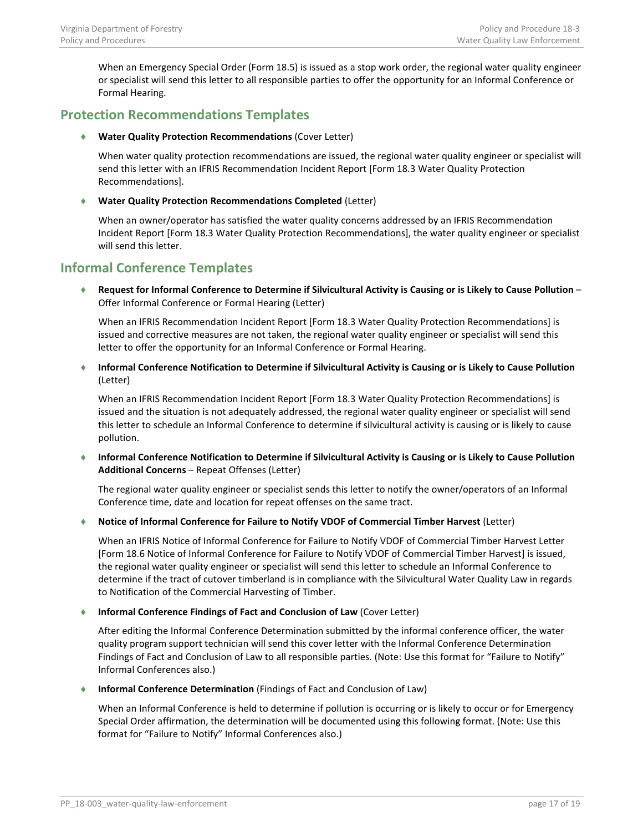When an Emergency Special Order (Form 18.5) is issued as a stop work order, the regional water quality engineer or specialist will send this letter to all responsible parties to offer the opportunity for an Informal Conference or Formal Hearing.

## <span id="page-16-0"></span>**Protection Recommendations Templates**

♦ **Water Quality Protection Recommendations** (Cover Letter)

When water quality protection recommendations are issued, the regional water quality engineer or specialist will send this letter with an IFRIS Recommendation Incident Report [Form 18.3 Water Quality Protection Recommendations].

### ♦ **Water Quality Protection Recommendations Completed** (Letter)

When an owner/operator has satisfied the water quality concerns addressed by an IFRIS Recommendation Incident Report [Form 18.3 Water Quality Protection Recommendations], the water quality engineer or specialist will send this letter.

## <span id="page-16-1"></span>**Informal Conference Templates**

♦ **Request for Informal Conference to Determine if Silvicultural Activity is Causing or is Likely to Cause Pollution** – Offer Informal Conference or Formal Hearing (Letter)

When an IFRIS Recommendation Incident Report [Form 18.3 Water Quality Protection Recommendations] is issued and corrective measures are not taken, the regional water quality engineer or specialist will send this letter to offer the opportunity for an Informal Conference or Formal Hearing.

♦ **Informal Conference Notification to Determine if Silvicultural Activity is Causing or is Likely to Cause Pollution** (Letter)

When an IFRIS Recommendation Incident Report [Form 18.3 Water Quality Protection Recommendations] is issued and the situation is not adequately addressed, the regional water quality engineer or specialist will send this letter to schedule an Informal Conference to determine if silvicultural activity is causing or is likely to cause pollution.

♦ **Informal Conference Notification to Determine if Silvicultural Activity is Causing or is Likely to Cause Pollution Additional Concerns** – Repeat Offenses (Letter)

The regional water quality engineer or specialist sends this letter to notify the owner/operators of an Informal Conference time, date and location for repeat offenses on the same tract.

♦ **Notice of Informal Conference for Failure to Notify VDOF of Commercial Timber Harvest** (Letter)

When an IFRIS Notice of Informal Conference for Failure to Notify VDOF of Commercial Timber Harvest Letter [Form 18.6 Notice of Informal Conference for Failure to Notify VDOF of Commercial Timber Harvest] is issued, the regional water quality engineer or specialist will send this letter to schedule an Informal Conference to determine if the tract of cutover timberland is in compliance with the Silvicultural Water Quality Law in regards to Notification of the Commercial Harvesting of Timber.

### ♦ **Informal Conference Findings of Fact and Conclusion of Law** (Cover Letter)

After editing the Informal Conference Determination submitted by the informal conference officer, the water quality program support technician will send this cover letter with the Informal Conference Determination Findings of Fact and Conclusion of Law to all responsible parties. (Note: Use this format for "Failure to Notify" Informal Conferences also.)

♦ **Informal Conference Determination** (Findings of Fact and Conclusion of Law)

When an Informal Conference is held to determine if pollution is occurring or is likely to occur or for Emergency Special Order affirmation, the determination will be documented using this following format. (Note: Use this format for "Failure to Notify" Informal Conferences also.)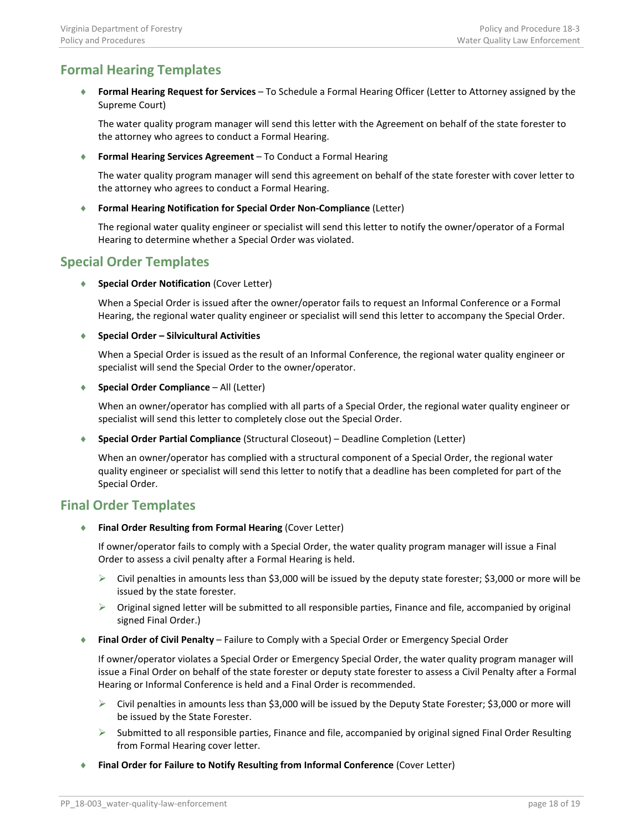## <span id="page-17-0"></span>**Formal Hearing Templates**

♦ **Formal Hearing Request for Services** – To Schedule a Formal Hearing Officer (Letter to Attorney assigned by the Supreme Court)

The water quality program manager will send this letter with the Agreement on behalf of the state forester to the attorney who agrees to conduct a Formal Hearing.

♦ **Formal Hearing Services Agreement** – To Conduct a Formal Hearing

The water quality program manager will send this agreement on behalf of the state forester with cover letter to the attorney who agrees to conduct a Formal Hearing.

**Formal Hearing Notification for Special Order Non-Compliance (Letter)** 

The regional water quality engineer or specialist will send this letter to notify the owner/operator of a Formal Hearing to determine whether a Special Order was violated.

## <span id="page-17-1"></span>**Special Order Templates**

♦ **Special Order Notification** (Cover Letter)

When a Special Order is issued after the owner/operator fails to request an Informal Conference or a Formal Hearing, the regional water quality engineer or specialist will send this letter to accompany the Special Order.

### ♦ **Special Order – Silvicultural Activities**

When a Special Order is issued as the result of an Informal Conference, the regional water quality engineer or specialist will send the Special Order to the owner/operator.

♦ **Special Order Compliance** – All (Letter)

When an owner/operator has complied with all parts of a Special Order, the regional water quality engineer or specialist will send this letter to completely close out the Special Order.

♦ **Special Order Partial Compliance** (Structural Closeout) – Deadline Completion (Letter)

When an owner/operator has complied with a structural component of a Special Order, the regional water quality engineer or specialist will send this letter to notify that a deadline has been completed for part of the Special Order.

## <span id="page-17-2"></span>**Final Order Templates**

♦ **Final Order Resulting from Formal Hearing** (Cover Letter)

If owner/operator fails to comply with a Special Order, the water quality program manager will issue a Final Order to assess a civil penalty after a Formal Hearing is held.

- $\triangleright$  Civil penalties in amounts less than \$3,000 will be issued by the deputy state forester; \$3,000 or more will be issued by the state forester.
- $\triangleright$  Original signed letter will be submitted to all responsible parties, Finance and file, accompanied by original signed Final Order.)
- ♦ **Final Order of Civil Penalty** Failure to Comply with a Special Order or Emergency Special Order

If owner/operator violates a Special Order or Emergency Special Order, the water quality program manager will issue a Final Order on behalf of the state forester or deputy state forester to assess a Civil Penalty after a Formal Hearing or Informal Conference is held and a Final Order is recommended.

- $\triangleright$  Civil penalties in amounts less than \$3,000 will be issued by the Deputy State Forester; \$3,000 or more will be issued by the State Forester.
- $\triangleright$  Submitted to all responsible parties, Finance and file, accompanied by original signed Final Order Resulting from Formal Hearing cover letter.
- ♦ **Final Order for Failure to Notify Resulting from Informal Conference** (Cover Letter)